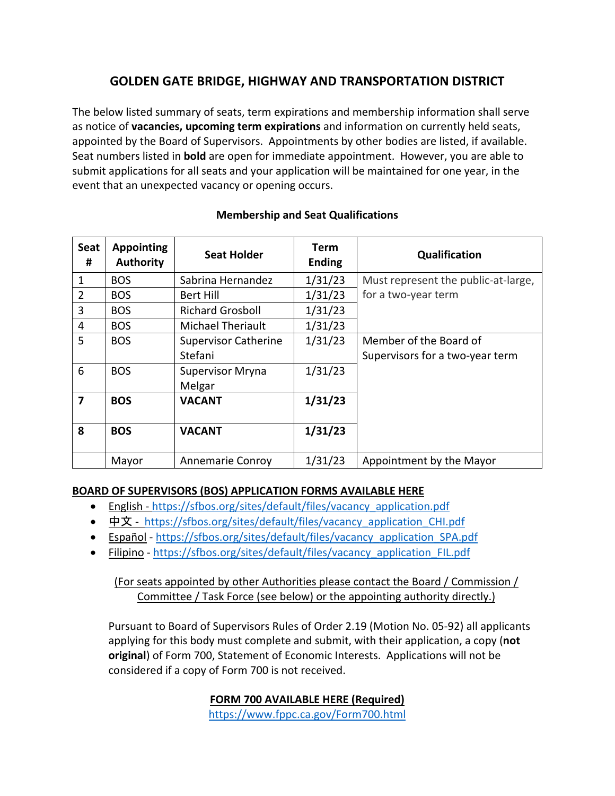# **GOLDEN GATE BRIDGE, HIGHWAY AND TRANSPORTATION DISTRICT**

The below listed summary of seats, term expirations and membership information shall serve as notice of **vacancies, upcoming term expirations** and information on currently held seats, appointed by the Board of Supervisors. Appointments by other bodies are listed, if available. Seat numbers listed in **bold** are open for immediate appointment. However, you are able to submit applications for all seats and your application will be maintained for one year, in the event that an unexpected vacancy or opening occurs.

| <b>Seat</b><br># | <b>Appointing</b><br><b>Authority</b> | <b>Seat Holder</b>          | <b>Term</b><br><b>Ending</b> | Qualification                       |
|------------------|---------------------------------------|-----------------------------|------------------------------|-------------------------------------|
| 1                | <b>BOS</b>                            | Sabrina Hernandez           | 1/31/23                      | Must represent the public-at-large, |
| $\overline{2}$   | <b>BOS</b>                            | Bert Hill                   | 1/31/23                      | for a two-year term                 |
| 3                | <b>BOS</b>                            | <b>Richard Grosboll</b>     | 1/31/23                      |                                     |
| 4                | <b>BOS</b>                            | Michael Theriault           | 1/31/23                      |                                     |
| 5                | <b>BOS</b>                            | <b>Supervisor Catherine</b> | 1/31/23                      | Member of the Board of              |
|                  |                                       | Stefani                     |                              | Supervisors for a two-year term     |
| 6                | <b>BOS</b>                            | <b>Supervisor Mryna</b>     | 1/31/23                      |                                     |
|                  |                                       | Melgar                      |                              |                                     |
| $\overline{ }$   | <b>BOS</b>                            | <b>VACANT</b>               | 1/31/23                      |                                     |
|                  |                                       |                             |                              |                                     |
| 8                | <b>BOS</b>                            | <b>VACANT</b>               | 1/31/23                      |                                     |
|                  | Mayor                                 | Annemarie Conroy            | 1/31/23                      | Appointment by the Mayor            |

#### **Membership and Seat Qualifications**

#### **BOARD OF SUPERVISORS (BOS) APPLICATION FORMS AVAILABLE HERE**

- English [https://sfbos.org/sites/default/files/vacancy\\_application.pdf](https://sfbos.org/sites/default/files/vacancy_application.pdf)
- [中文](https://sfbos.org/sites/default/files/vacancy_application_CHI.pdf) https://sfbos.org/sites/default/files/vacancy application CHI.pdf
- [Español](https://sfbos.org/sites/default/files/vacancy_application_SPA.pdf) [https://sfbos.org/sites/default/files/vacancy\\_application\\_SPA.pdf](https://sfbos.org/sites/default/files/vacancy_application_SPA.pdf)
- [Filipino](https://sfbos.org/sites/default/files/vacancy_application_FIL.pdf) [https://sfbos.org/sites/default/files/vacancy\\_application\\_FIL.pdf](https://sfbos.org/sites/default/files/vacancy_application_FIL.pdf)

## (For seats appointed by other Authorities please contact the Board / Commission / Committee / Task Force (see below) or the appointing authority directly.)

Pursuant to Board of Supervisors Rules of Order 2.19 (Motion No. 05-92) all applicants applying for this body must complete and submit, with their application, a copy (**not original**) of Form 700, Statement of Economic Interests. Applications will not be considered if a copy of Form 700 is not received.

### **FORM 700 AVAILABLE HERE (Required)**

<https://www.fppc.ca.gov/Form700.html>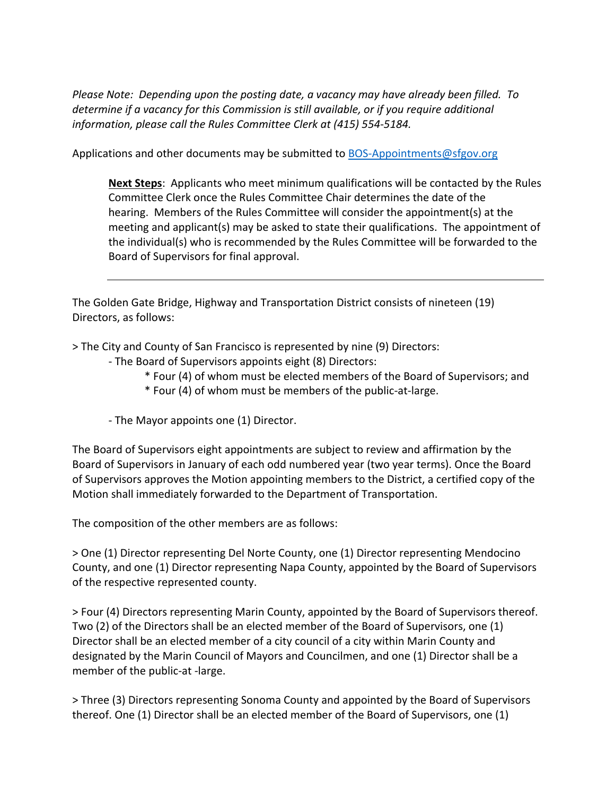*Please Note: Depending upon the posting date, a vacancy may have already been filled. To determine if a vacancy for this Commission is still available, or if you require additional information, please call the Rules Committee Clerk at (415) 554-5184.*

Applications and other documents may be submitted to [BOS-Appointments@sfgov.org](mailto:BOS-Appointments@sfgov.org)

**Next Steps**: Applicants who meet minimum qualifications will be contacted by the Rules Committee Clerk once the Rules Committee Chair determines the date of the hearing. Members of the Rules Committee will consider the appointment(s) at the meeting and applicant(s) may be asked to state their qualifications. The appointment of the individual(s) who is recommended by the Rules Committee will be forwarded to the Board of Supervisors for final approval.

The Golden Gate Bridge, Highway and Transportation District consists of nineteen (19) Directors, as follows:

> The City and County of San Francisco is represented by nine (9) Directors:

- The Board of Supervisors appoints eight (8) Directors:
	- \* Four (4) of whom must be elected members of the Board of Supervisors; and
	- \* Four (4) of whom must be members of the public-at-large.

- The Mayor appoints one (1) Director.

The Board of Supervisors eight appointments are subject to review and affirmation by the Board of Supervisors in January of each odd numbered year (two year terms). Once the Board of Supervisors approves the Motion appointing members to the District, a certified copy of the Motion shall immediately forwarded to the Department of Transportation.

The composition of the other members are as follows:

> One (1) Director representing Del Norte County, one (1) Director representing Mendocino County, and one (1) Director representing Napa County, appointed by the Board of Supervisors of the respective represented county.

> Four (4) Directors representing Marin County, appointed by the Board of Supervisors thereof. Two (2) of the Directors shall be an elected member of the Board of Supervisors, one (1) Director shall be an elected member of a city council of a city within Marin County and designated by the Marin Council of Mayors and Councilmen, and one (1) Director shall be a member of the public-at -large.

> Three (3) Directors representing Sonoma County and appointed by the Board of Supervisors thereof. One (1) Director shall be an elected member of the Board of Supervisors, one (1)